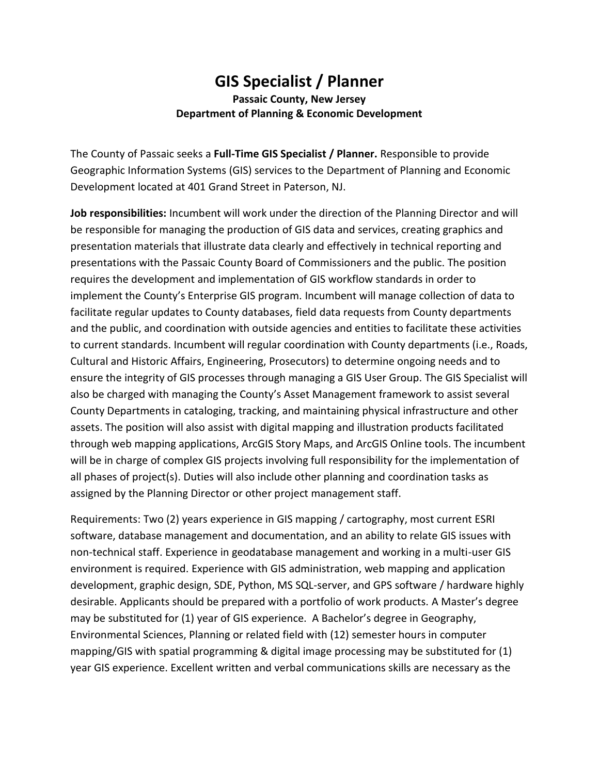## **GIS Specialist / Planner Passaic County, New Jersey Department of Planning & Economic Development**

The County of Passaic seeks a **Full-Time GIS Specialist / Planner.** Responsible to provide Geographic Information Systems (GIS) services to the Department of Planning and Economic Development located at 401 Grand Street in Paterson, NJ.

**Job responsibilities:** Incumbent will work under the direction of the Planning Director and will be responsible for managing the production of GIS data and services, creating graphics and presentation materials that illustrate data clearly and effectively in technical reporting and presentations with the Passaic County Board of Commissioners and the public. The position requires the development and implementation of GIS workflow standards in order to implement the County's Enterprise GIS program. Incumbent will manage collection of data to facilitate regular updates to County databases, field data requests from County departments and the public, and coordination with outside agencies and entities to facilitate these activities to current standards. Incumbent will regular coordination with County departments (i.e., Roads, Cultural and Historic Affairs, Engineering, Prosecutors) to determine ongoing needs and to ensure the integrity of GIS processes through managing a GIS User Group. The GIS Specialist will also be charged with managing the County's Asset Management framework to assist several County Departments in cataloging, tracking, and maintaining physical infrastructure and other assets. The position will also assist with digital mapping and illustration products facilitated through web mapping applications, ArcGIS Story Maps, and ArcGIS Online tools. The incumbent will be in charge of complex GIS projects involving full responsibility for the implementation of all phases of project(s). Duties will also include other planning and coordination tasks as assigned by the Planning Director or other project management staff.

Requirements: Two (2) years experience in GIS mapping / cartography, most current ESRI software, database management and documentation, and an ability to relate GIS issues with non-technical staff. Experience in geodatabase management and working in a multi-user GIS environment is required. Experience with GIS administration, web mapping and application development, graphic design, SDE, Python, MS SQL-server, and GPS software / hardware highly desirable. Applicants should be prepared with a portfolio of work products. A Master's degree may be substituted for (1) year of GIS experience. A Bachelor's degree in Geography, Environmental Sciences, Planning or related field with (12) semester hours in computer mapping/GIS with spatial programming & digital image processing may be substituted for (1) year GIS experience. Excellent written and verbal communications skills are necessary as the